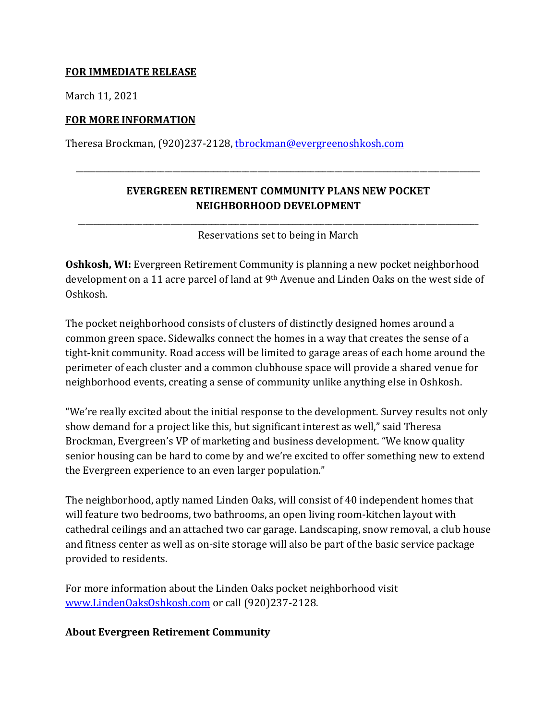## **FOR IMMEDIATE RELEASE**

March 11, 2021

## **FOR MORE INFORMATION**

Theresa Brockman, (920)237-2128, [tbrockman@evergreenoshkosh.com](mailto:tbrockman@evergreenoshkosh.com)

## **EVERGREEN RETIREMENT COMMUNITY PLANS NEW POCKET NEIGHBORHOOD DEVELOPMENT**

\_\_\_\_\_\_\_\_\_\_\_\_\_\_\_\_\_\_\_\_\_\_\_\_\_\_\_\_\_\_\_\_\_\_\_\_\_\_\_\_\_\_\_\_\_\_\_\_\_\_\_\_\_\_\_\_\_\_\_\_\_\_\_\_\_\_\_\_\_\_\_\_\_\_\_\_\_\_\_\_\_\_\_\_\_\_\_\_\_\_\_\_\_\_\_\_\_\_\_\_

\_\_\_\_\_\_\_\_\_\_\_\_\_\_\_\_\_\_\_\_\_\_\_\_\_\_\_\_\_\_\_\_\_\_\_\_\_\_\_\_\_\_\_\_\_\_\_\_\_\_\_\_\_\_\_\_\_\_\_\_\_\_\_\_\_\_\_\_\_\_\_\_\_\_\_\_\_\_\_\_\_\_\_\_\_\_\_\_\_\_\_\_\_\_\_\_\_\_\_ Reservations set to being in March

**Oshkosh, WI:** Evergreen Retirement Community is planning a new pocket neighborhood development on a 11 acre parcel of land at 9th Avenue and Linden Oaks on the west side of Oshkosh.

The pocket neighborhood consists of clusters of distinctly designed homes around a common green space. Sidewalks connect the homes in a way that creates the sense of a tight-knit community. Road access will be limited to garage areas of each home around the perimeter of each cluster and a common clubhouse space will provide a shared venue for neighborhood events, creating a sense of community unlike anything else in Oshkosh.

"We're really excited about the initial response to the development. Survey results not only show demand for a project like this, but significant interest as well," said Theresa Brockman, Evergreen's VP of marketing and business development. "We know quality senior housing can be hard to come by and we're excited to offer something new to extend the Evergreen experience to an even larger population."

The neighborhood, aptly named Linden Oaks, will consist of 40 independent homes that will feature two bedrooms, two bathrooms, an open living room-kitchen layout with cathedral ceilings and an attached two car garage. Landscaping, snow removal, a club house and fitness center as well as on-site storage will also be part of the basic service package provided to residents.

For more information about the Linden Oaks pocket neighborhood visit [www.LindenOaksOshkosh.com](http://www.lindenoaksoshkosh.com/) or call (920)237-2128.

## **About Evergreen Retirement Community**